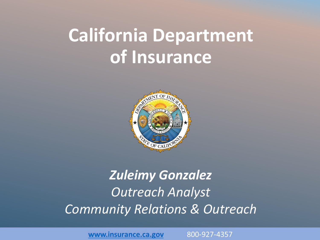## **California Department of Insurance**



#### *Zuleimy Gonzalez Outreach Analyst Community Relations & Outreach*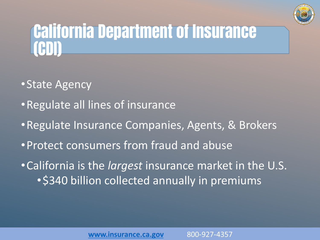

## California Department of Insurance (CDI)

- •State Agency
- •Regulate all lines of insurance
- •Regulate Insurance Companies, Agents, & Brokers
- •Protect consumers from fraud and abuse
- •California is the *largest* insurance market in the U.S. • \$340 billion collected annually in premiums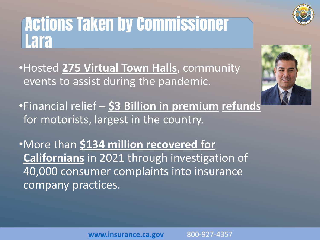#### Actions Taken by Commissioner Lara

•Hosted **275 Virtual Town Halls**, community events to assist during the pandemic.

•Financial relief – **\$3 Billion in premium refunds** for motorists, largest in the country.

•More than **\$134 million recovered for Californians** in 2021 through investigation of 40,000 consumer complaints into insurance company practices.



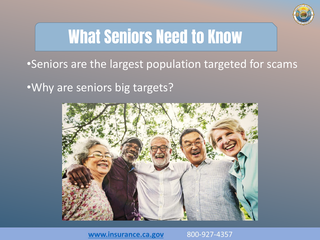

## What Seniors Need to Know

•Seniors are the largest population targeted for scams

•Why are seniors big targets?



www.insurance.ca.gov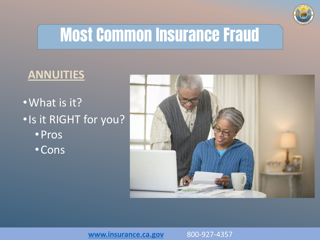

## Most Common Insurance Fraud

#### **ANNUITIES**

•What is it? •Is it RIGHT for you? •Pros •Cons

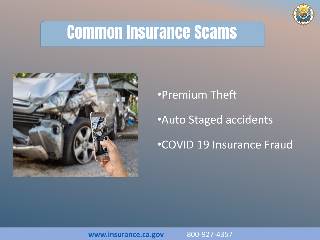

#### Common Insurance Scams



#### •Premium Theft

•Auto Staged accidents

#### •COVID 19 Insurance Fraud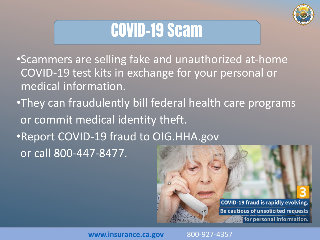

## COVID-19 Scam

•Scammers are selling fake and unauthorized at-home COVID-19 test kits in exchange for your personal or medical information.

•They can fraudulently bill federal health care programs or commit medical identity theft. •Report COVID-19 fraud to OIG.HHA.gov or call 800-447-8477.

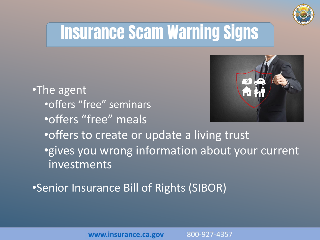

## Insurance Scam Warning Signs

•The agent •offers "free" seminars •offers "free" meals



•offers to create or update a living trust •gives you wrong information about your current investments

•Senior Insurance Bill of Rights (SIBOR)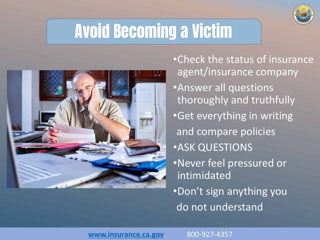

## Avoid Becoming a Victim



•Check the status of insurance agent/insurance company •Answer all questions thoroughly and truthfully •Get everything in writing and compare policies •ASK QUESTIONS

- •Never feel pressured or intimidated
- •Don't sign anything you do not understand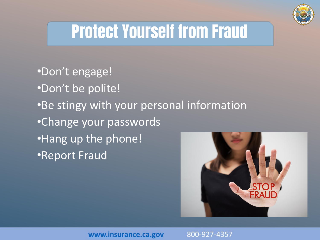

## Protect Yourself from Fraud

•Don't engage! •Don't be polite! •Be stingy with your personal information •Change your passwords •Hang up the phone! •Report Fraud

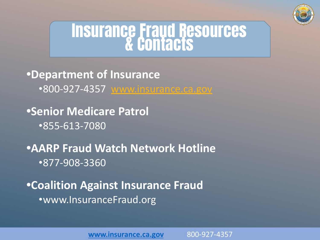

# **Insurance Fraud Resources**

**•Department of Insurance** •800-927-4357 [www.insurance.ca.gov](http://www.insurance.ca.gov/)

**•Senior Medicare Patrol** •855-613-7080

**•AARP Fraud Watch Network Hotline** •877-908-3360

**•Coalition Against Insurance Fraud** •www.InsuranceFraud.org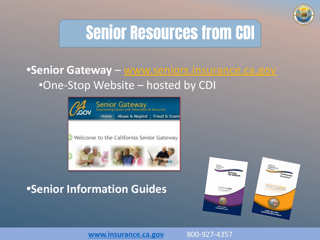

# Senior Resources from CDI

#### **•Senior Gateway** – [www.seniors.insurance.ca.gov](http://www.seniors.insurance.ca.gov/) •One-Stop Website – hosted by CDI



#### **•Senior Information Guides**



www.insurance.ca.gov